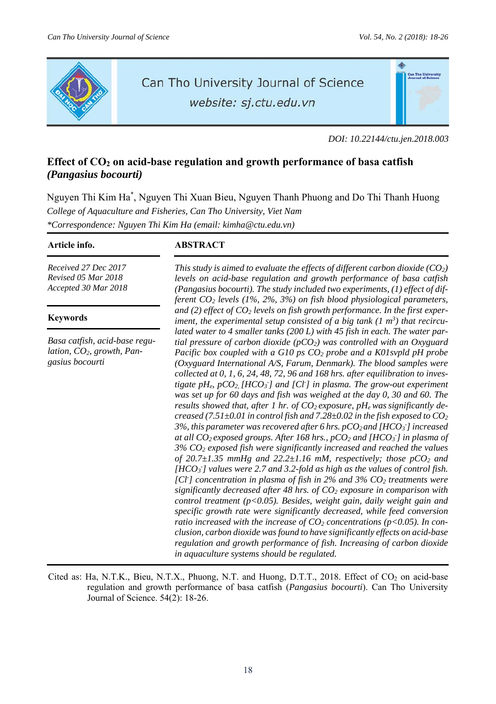

# Can Tho University Journal of Science

website: sj.ctu.edu.vn

*DOI: 10.22144/ctu.jen.2018.003* 

# Effect of CO<sub>2</sub> on acid-base regulation and growth performance of basa catfish *(Pangasius bocourti)*

Nguyen Thi Kim Ha\* , Nguyen Thi Xuan Bieu, Nguyen Thanh Phuong and Do Thi Thanh Huong *College of Aquaculture and Fisheries, Can Tho University, Viet Nam \*Correspondence: Nguyen Thi Kim Ha (email: kimha@ctu.edu.vn)* 

*Received 27 Dec 2017 Revised 05 Mar 2018 Accepted 30 Mar 2018*

# **Keywords**

*Basa catfish, acid-base regulation, CO2, growth, Pangasius bocourti* 

# **Article info. ABSTRACT**

*This study is aimed to evaluate the effects of different carbon dioxide (CO2) levels on acid-base regulation and growth performance of basa catfish (Pangasius bocourti). The study included two experiments, (1) effect of different CO2 levels (1%, 2%, 3%) on fish blood physiological parameters,* and (2) effect of CO<sub>2</sub> levels on fish growth performance. In the first experiment, the experimental setup consisted of a big tank (1 m<sup>3</sup>) that recircu*lated water to 4 smaller tanks (200 L) with 45 fish in each. The water partial pressure of carbon dioxide (pCO2) was controlled with an Oxyguard Pacific box coupled with a G10 ps CO<sub>2</sub> probe and a K01svpld pH probe (Oxyguard International A/S, Farum, Denmark). The blood samples were collected at 0, 1, 6, 24, 48, 72, 96 and 168 hrs. after equilibration to inves*tigate pH<sub>e</sub>, pCO<sub>2</sub>, [HCO<sub>3</sub><sup>-</sup>] and [Cl<sup>-</sup>] in plasma. The grow-out experiment *was set up for 60 days and fish was weighed at the day 0, 30 and 60. The*  results showed that, after 1 hr. of CO<sub>2</sub> exposure, pH<sub>e</sub> was significantly de*creased (7.51±0.01 in control fish and 7.28±0.02 in the fish exposed to CO2*  3%, this parameter was recovered after 6 hrs. pCO<sub>2</sub> and [HCO<sub>3</sub>] increased *at all CO2 exposed groups. After 168 hrs., pCO2 and [HCO3 - ] in plasma of 3% CO2 exposed fish were significantly increased and reached the values of 20.7±1.35 mmHg and 22.2±1.16 mM, respectively; those pCO2 and*  [HCO<sub>3</sub>] values were 2.7 and 3.2-fold as high as the values of control fish. [Cl<sup>-</sup>] concentration in plasma of fish in 2% and 3% CO<sub>2</sub> treatments were *significantly decreased after 48 hrs. of CO<sub>2</sub> exposure in comparison with control treatment (p<0.05). Besides, weight gain, daily weight gain and specific growth rate were significantly decreased, while feed conversion ratio increased with the increase of*  $CO<sub>2</sub>$  *concentrations (p<0.05). In conclusion, carbon dioxide was found to have significantly effects on acid-base regulation and growth performance of fish. Increasing of carbon dioxide in aquaculture systems should be regulated.* 

Cited as: Ha, N.T.K., Bieu, N.T.X., Phuong, N.T. and Huong, D.T.T., 2018. Effect of  $CO_2$  on acid-base regulation and growth performance of basa catfish (*Pangasius bocourti*). Can Tho University Journal of Science. 54(2): 18-26.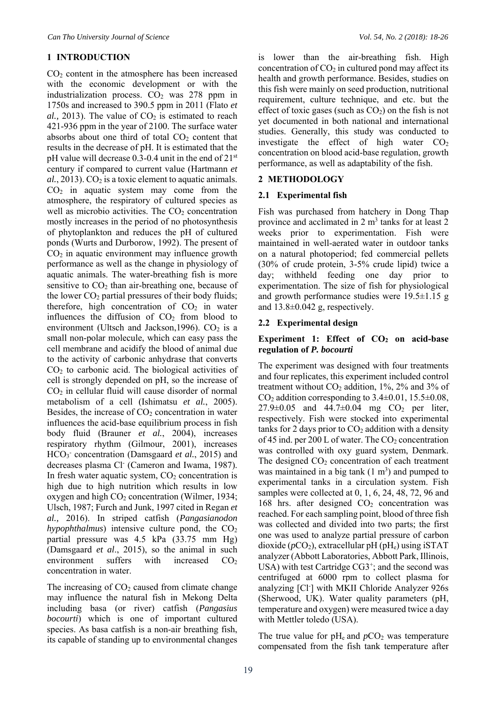# **1 INTRODUCTION**

CO2 content in the atmosphere has been increased with the economic development or with the industrialization process.  $CO<sub>2</sub>$  was 278 ppm in 1750s and increased to 390.5 ppm in 2011 (Flato *et*   $al., 2013$ ). The value of  $CO<sub>2</sub>$  is estimated to reach 421-936 ppm in the year of 2100. The surface water absorbs about one third of total  $CO<sub>2</sub>$  content that results in the decrease of pH. It is estimated that the pH value will decrease 0.3-0.4 unit in the end of 21<sup>st</sup> century if compared to current value (Hartmann *et*   $al., 2013). CO<sub>2</sub>$  is a toxic element to aquatic animals.  $CO<sub>2</sub>$  in aquatic system may come from the atmosphere, the respiratory of cultured species as well as microbio activities. The  $CO<sub>2</sub>$  concentration mostly increases in the period of no photosynthesis of phytoplankton and reduces the pH of cultured ponds (Wurts and Durborow, 1992). The present of  $CO<sub>2</sub>$  in aquatic environment may influence growth performance as well as the change in physiology of aquatic animals. The water-breathing fish is more sensitive to  $CO<sub>2</sub>$  than air-breathing one, because of the lower CO<sub>2</sub> partial pressures of their body fluids; therefore, high concentration of  $CO<sub>2</sub>$  in water influences the diffusion of  $CO<sub>2</sub>$  from blood to environment (Ultsch and Jackson, 1996).  $CO<sub>2</sub>$  is a small non-polar molecule, which can easy pass the cell membrane and acidify the blood of animal due to the activity of carbonic anhydrase that converts CO2 to carbonic acid. The biological activities of cell is strongly depended on pH, so the increase of CO2 in cellular fluid will cause disorder of normal metabolism of a cell (Ishimatsu *et al.*, 2005). Besides, the increase of  $CO<sub>2</sub>$  concentration in water influences the acid-base equilibrium process in fish body fluid (Brauner *et al.*, 2004), increases respiratory rhythm (Gilmour, 2001), increases HCO<sub>3</sub><sup>-</sup> concentration (Damsgaard et al., 2015) and decreases plasma Cl- (Cameron and Iwama, 1987). In fresh water aquatic system,  $CO<sub>2</sub>$  concentration is high due to high nutrition which results in low oxygen and high  $CO<sub>2</sub>$  concentration (Wilmer, 1934; Ulsch, 1987; Furch and Junk, 1997 cited in Regan *et al.,* 2016). In striped catfish (*Pangasianodon*   $hypophthalmus)$  intensive culture pond, the  $CO<sub>2</sub>$ partial pressure was 4.5 kPa (33.75 mm Hg) (Damsgaard *et al*., 2015), so the animal in such environment suffers with increased  $CO<sub>2</sub>$ concentration in water.

The increasing of  $CO<sub>2</sub>$  caused from climate change may influence the natural fish in Mekong Delta including basa (or river) catfish (*Pangasius bocourti*) which is one of important cultured species. As basa catfish is a non-air breathing fish, its capable of standing up to environmental changes

is lower than the air-breathing fish. High concentration of  $CO<sub>2</sub>$  in cultured pond may affect its health and growth performance. Besides, studies on this fish were mainly on seed production, nutritional requirement, culture technique, and etc. but the effect of toxic gases (such as  $CO<sub>2</sub>$ ) on the fish is not yet documented in both national and international studies. Generally, this study was conducted to investigate the effect of high water  $CO<sub>2</sub>$ concentration on blood acid-base regulation, growth performance, as well as adaptability of the fish.

# **2 METHODOLOGY**

# **2.1 Experimental fish**

Fish was purchased from hatchery in Dong Thap province and acclimated in  $2 \text{ m}^3$  tanks for at least  $2 \text{ m}^3$ weeks prior to experimentation. Fish were maintained in well-aerated water in outdoor tanks on a natural photoperiod; fed commercial pellets (30% of crude protein, 3-5% crude lipid) twice a day; withheld feeding one day prior to experimentation. The size of fish for physiological and growth performance studies were 19.5±1.15 g and 13.8±0.042 g, respectively.

# **2.2 Experimental design**

# Experiment 1: Effect of CO<sub>2</sub> on acid-base **regulation of** *P. bocourti*

The experiment was designed with four treatments and four replicates, this experiment included control treatment without  $CO<sub>2</sub>$  addition, 1%, 2% and 3% of  $CO<sub>2</sub>$  addition corresponding to 3.4 $\pm$ 0.01, 15.5 $\pm$ 0.08, 27.9 $\pm$ 0.05 and 44.7 $\pm$ 0.04 mg CO<sub>2</sub> per liter, respectively. Fish were stocked into experimental tanks for 2 days prior to  $CO<sub>2</sub>$  addition with a density of 45 ind. per 200 L of water. The  $CO<sub>2</sub>$  concentration was controlled with oxy guard system, Denmark. The designed  $CO<sub>2</sub>$  concentration of each treatment was maintained in a big tank  $(1 \text{ m}^3)$  and pumped to experimental tanks in a circulation system. Fish samples were collected at 0, 1, 6, 24, 48, 72, 96 and 168 hrs. after designed  $CO<sub>2</sub>$  concentration was reached. For each sampling point, blood of three fish was collected and divided into two parts; the first one was used to analyze partial pressure of carbon dioxide ( $pCO<sub>2</sub>$ ), extracellular pH (pH<sub>e</sub>) using iSTAT analyzer (Abbott Laboratories, Abbott Park, Illinois, USA) with test Cartridge  $CG3^+$ ; and the second was centrifuged at 6000 rpm to collect plasma for analyzing [Cl- ] with MKII Chloride Analyzer 926s (Sherwood, UK). Water quality parameters (pH, temperature and oxygen) were measured twice a day with Mettler toledo (USA).

The true value for  $pH_e$  and  $pCO_2$  was temperature compensated from the fish tank temperature after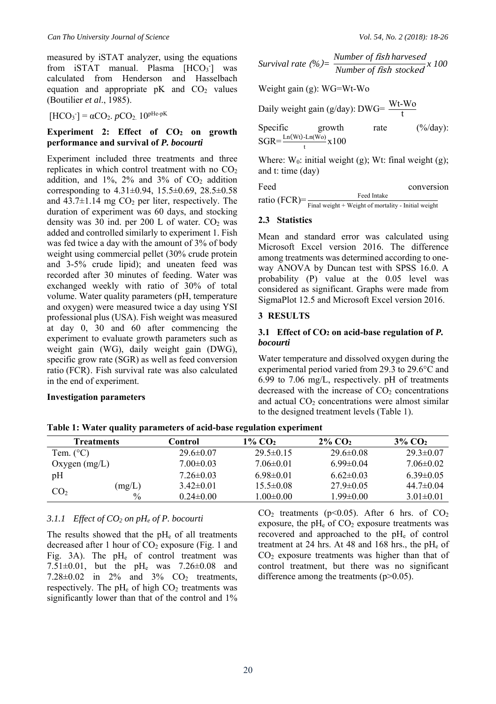measured by iSTAT analyzer, using the equations from  $\text{iSTAT}$  manual. Plasma  $[\text{HCO}_3^-]$  was calculated from Henderson and Hasselbach equation and appropriate  $pK$  and  $CO<sub>2</sub>$  values (Boutilier *et al*., 1985).

 $[HCO<sub>3</sub><sup>-</sup>] = αCO<sub>2</sub>$ . *p*CO<sub>2</sub>. 10<sup>pHe-pK</sup>

#### Experiment 2: Effect of CO<sub>2</sub> on growth **performance and survival of** *P. bocourti*

Experiment included three treatments and three replicates in which control treatment with no  $CO<sub>2</sub>$ addition, and  $1\%$ ,  $2\%$  and  $3\%$  of  $CO<sub>2</sub>$  addition corresponding to 4.31±0.94, 15.5±0.69, 28.5±0.58 and  $43.7\pm1.14$  mg CO<sub>2</sub> per liter, respectively. The duration of experiment was 60 days, and stocking density was 30 ind. per 200 L of water.  $CO<sub>2</sub>$  was added and controlled similarly to experiment 1. Fish was fed twice a day with the amount of 3% of body weight using commercial pellet (30% crude protein and 3-5% crude lipid); and uneaten feed was recorded after 30 minutes of feeding. Water was exchanged weekly with ratio of 30% of total volume. Water quality parameters (pH, temperature and oxygen) were measured twice a day using YSI professional plus (USA). Fish weight was measured at day 0, 30 and 60 after commencing the experiment to evaluate growth parameters such as weight gain (WG), daily weight gain (DWG), specific grow rate (SGR) as well as feed conversion ratio (FCR). Fish survival rate was also calculated in the end of experiment.

# **Investigation parameters**

*Survival rate (%)*=  $\frac{Number\ of\ fish\ harvested} {Number\ of\ fish\ blocked} x\ 100$ 

Weight gain (g): WG=Wt-Wo

Daily weight gain (g/day): DWG=  $\frac{\text{Wt-Wo}}{\text{t}}$ 

| Specific | growth                                             | rate | $(\frac{6}{d}$ ay): |
|----------|----------------------------------------------------|------|---------------------|
|          | $SGR = \frac{\text{Ln}(Wt) - \text{Ln}(Wo)}{X100}$ |      |                     |

Where:  $W_0$ : initial weight (g); Wt: final weight (g); and t: time (day)

| Feed          | conversion                                            |
|---------------|-------------------------------------------------------|
| ratio (FCR)=: | Feed Intake                                           |
|               | Final weight $+$ Weight of mortality - Initial weight |

# **2.3 Statistics**

Mean and standard error was calculated using Microsoft Excel version 2016. The difference among treatments was determined according to oneway ANOVA by Duncan test with SPSS 16.0. A probability (P) value at the 0.05 level was considered as significant. Graphs were made from SigmaPlot 12.5 and Microsoft Excel version 2016.

# **3 RESULTS**

# **3.1 Effect of CO2 on acid-base regulation of** *P. bocourti*

Water temperature and dissolved oxygen during the experimental period varied from 29.3 to 29.6°C and 6.99 to 7.06 mg/L, respectively. pH of treatments decreased with the increase of  $CO<sub>2</sub>$  concentrations and actual  $CO<sub>2</sub>$  concentrations were almost similar to the designed treatment levels (Table 1).

| <b>Treatments</b>  |               | Control         | 1% CO2          | $2\%$ CO <sub>2</sub> | $3\%$ CO <sub>2</sub> |
|--------------------|---------------|-----------------|-----------------|-----------------------|-----------------------|
| Tem. $(^{\circ}C)$ |               | $29.6 \pm 0.07$ | $29.5 \pm 0.15$ | $29.6 \pm 0.08$       | $29.3 \pm 0.07$       |
| Oxygen $(mg/L)$    |               | $7.00 \pm 0.03$ | $7.06 \pm 0.01$ | $6.99 \pm 0.04$       | $7.06 \pm 0.02$       |
| pH                 |               | $7.26 \pm 0.03$ | $6.98\pm0.01$   | $6.62\pm0.03$         | $6.39\pm0.05$         |
| CO <sub>2</sub>    | (mg/L)        | $3.42\pm0.01$   | $15.5 \pm 0.08$ | $27.9 \pm 0.05$       | $44.7 \pm 0.04$       |
|                    | $\frac{0}{0}$ | $0.24 \pm 0.00$ | $1.00 \pm 0.00$ | $1.99 \pm 0.00$       | $3.01 \pm 0.01$       |

**Table 1: Water quality parameters of acid-base regulation experiment** 

# *3.1.1 Effect of CO2 on pHe of P. bocourti*

The results showed that the  $pH_e$  of all treatments decreased after 1 hour of  $CO<sub>2</sub>$  exposure (Fig. 1 and Fig. 3A). The  $pH_e$  of control treatment was 7.51±0.01, but the pHe was 7.26±0.08 and 7.28 $\pm$ 0.02 in 2% and 3%  $CO<sub>2</sub>$  treatments, respectively. The  $pH_e$  of high  $CO_2$  treatments was significantly lower than that of the control and 1%

 $CO<sub>2</sub>$  treatments (p<0.05). After 6 hrs. of  $CO<sub>2</sub>$ exposure, the  $pH_e$  of  $CO_2$  exposure treatments was recovered and approached to the pH<sub>e</sub> of control treatment at 24 hrs. At 48 and 168 hrs., the pH<sub>e</sub> of  $CO<sub>2</sub>$  exposure treatments was higher than that of control treatment, but there was no significant difference among the treatments (p>0.05).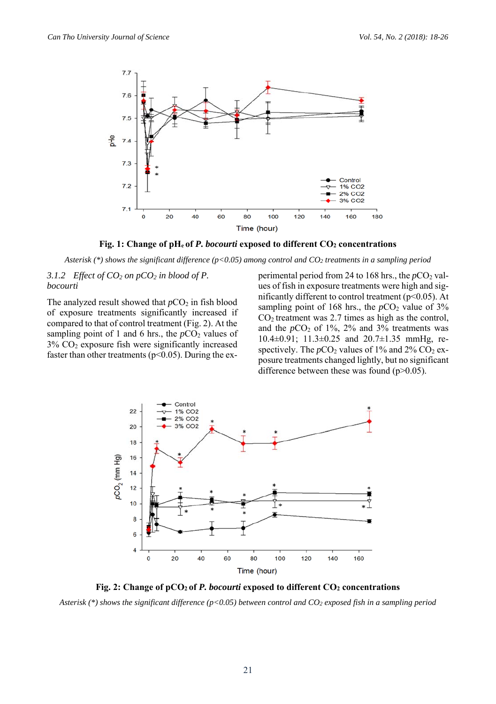

Fig. 1: Change of pH<sub>e</sub> of P. bocourti exposed to different CO<sub>2</sub> concentrations

*Asterisk (\*) shows the significant difference (p<0.05) among control and CO2 treatments in a sampling period* 

# *3.1.2 Effect of CO2 on pCO2 in blood of P. bocourti*

The analyzed result showed that  $pCO_2$  in fish blood of exposure treatments significantly increased if compared to that of control treatment (Fig. 2). At the sampling point of 1 and 6 hrs., the  $pCO<sub>2</sub>$  values of  $3\%$  CO<sub>2</sub> exposure fish were significantly increased faster than other treatments ( $p<0.05$ ). During the experimental period from 24 to 168 hrs., the  $pCO<sub>2</sub>$  values of fish in exposure treatments were high and significantly different to control treatment ( $p$ <0.05). At sampling point of 168 hrs., the  $pCO_2$  value of 3%  $CO<sub>2</sub>$  treatment was 2.7 times as high as the control, and the  $pCO_2$  of 1%, 2% and 3% treatments was 10.4±0.91; 11.3±0.25 and 20.7±1.35 mmHg, respectively. The  $pCO_2$  values of 1% and 2%  $CO_2$  exposure treatments changed lightly, but no significant difference between these was found  $(p>0.05)$ .



Fig. 2: Change of pCO<sub>2</sub> of *P. bocourti* exposed to different CO<sub>2</sub> concentrations

*Asterisk (\*) shows the significant difference (p<0.05) between control and CO2 exposed fish in a sampling period*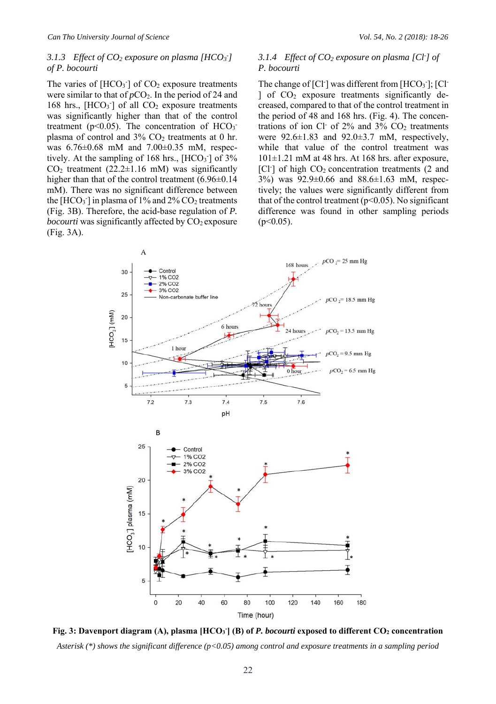#### 3.1.3 *Effect of CO<sub>2</sub> exposure on plasma [HCO<sub>3</sub><sup>-</sup>]</sub> of P. bocourti*

The varies of  $[HCO<sub>3</sub>$ <sup>-</sup>] of  $CO<sub>2</sub>$  exposure treatments were similar to that of  $pCO<sub>2</sub>$ . In the period of 24 and 168 hrs.,  $[HCO_3]$  of all  $CO_2$  exposure treatments was significantly higher than that of the control treatment ( $p$ <0.05). The concentration of  $HCO_3$ <sup>-</sup> plasma of control and  $3\%$  CO<sub>2</sub> treatments at 0 hr. was 6.76±0.68 mM and 7.00±0.35 mM, respectively. At the sampling of  $168$  hrs.,  $[HCO_3^-]$  of  $3\%$  $CO<sub>2</sub>$  treatment (22.2 $\pm$ 1.16 mM) was significantly higher than that of the control treatment (6.96 $\pm$ 0.14 mM). There was no significant difference between the  $[HCO_3^-]$  in plasma of 1% and 2%  $CO_2$  treatments (Fig. 3B). Therefore, the acid-base regulation of *P. bocourti* was significantly affected by CO<sub>2</sub> exposure (Fig. 3A).

# *3.1.4 Effect of CO2 exposure on plasma [Cl- ] of P. bocourti*

The change of  $[Cl<sup>-</sup>]$  was different from  $[HCO<sub>3</sub><sup>-</sup>]$ ;  $[Cl<sup>-</sup>]$ ] of  $CO<sub>2</sub>$  exposure treatments significantly decreased, compared to that of the control treatment in the period of 48 and 168 hrs. (Fig. 4). The concentrations of ion Cl· of  $2\%$  and  $3\%$  CO<sub>2</sub> treatments were  $92.6 \pm 1.83$  and  $92.0 \pm 3.7$  mM, respectively, while that value of the control treatment was  $101\pm1.21$  mM at 48 hrs. At 168 hrs. after exposure, [Cl<sup>-</sup>] of high CO<sub>2</sub> concentration treatments (2 and 3%) was 92.9±0.66 and 88.6±1.63 mM, respectively; the values were significantly different from that of the control treatment ( $p<0.05$ ). No significant difference was found in other sampling periods  $(p<0.05)$ .



Fig. 3: Davenport diagram (A), plasma [HCO<sub>3</sub><sup>-</sup>] (B) of *P. bocourti* exposed to different CO<sub>2</sub> concentration *Asterisk (\*) shows the significant difference (p<0.05) among control and exposure treatments in a sampling period*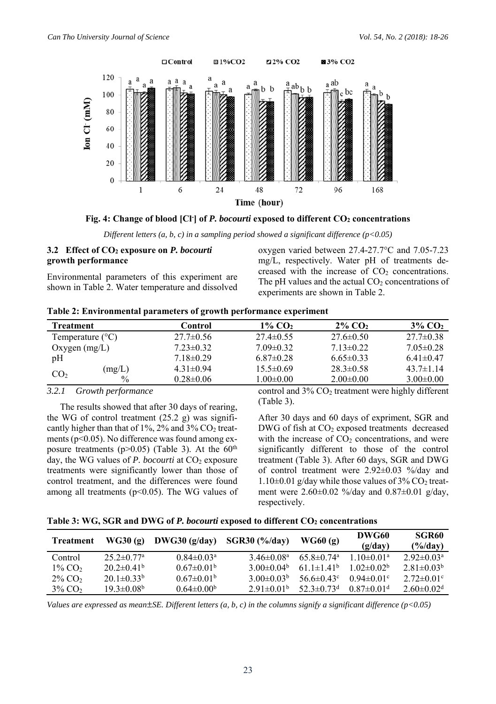

Fig. 4: Change of blood [Cl<sup>-</sup>] of *P. bocourti* exposed to different CO<sub>2</sub> concentrations

*Different letters (a, b, c) in a sampling period showed a significant difference (p<0.05)* 

# **3.2 Effect of CO2 exposure on** *P. bocourti* **growth performance**

Environmental parameters of this experiment are shown in Table 2. Water temperature and dissolved oxygen varied between 27.4-27.7°C and 7.05-7.23 mg/L, respectively. Water pH of treatments decreased with the increase of  $CO<sub>2</sub>$  concentrations. The pH values and the actual  $CO<sub>2</sub>$  concentrations of experiments are shown in Table 2.

|  | Table 2: Environmental parameters of growth performance experiment |  |  |
|--|--------------------------------------------------------------------|--|--|
|  |                                                                    |  |  |

| <b>Treatment</b>          |               | Control         | $1\%$ CO <sub>2</sub> | $2\%$ CO <sub>2</sub> | $3\%$ CO <sub>2</sub> |
|---------------------------|---------------|-----------------|-----------------------|-----------------------|-----------------------|
| Temperature $(^{\circ}C)$ |               | $27.7 \pm 0.56$ | $27.4 \pm 0.55$       | $27.6 \pm 0.50$       | $27.7 \pm 0.38$       |
| Oxygen $(mg/L)$           |               | $7.23 \pm 0.32$ | $7.09 \pm 0.32$       | $7.13 \pm 0.22$       | $7.05 \pm 0.28$       |
| pH                        |               | $7.18\pm0.29$   | $6.87\pm0.28$         | $6.65 \pm 0.33$       | $6.41\pm0.47$         |
| CO <sub>2</sub>           | (mg/L)        | $4.31\pm0.94$   | $15.5 \pm 0.69$       | $28.3 \pm 0.58$       | $43.7\pm1.14$         |
|                           | $\frac{0}{0}$ | $0.28 \pm 0.06$ | 1.00±0.00             | $2.00\pm0.00$         | $3.00 \pm 0.00$       |

#### *3.2.1 Growth performance*

 The results showed that after 30 days of rearing, the WG of control treatment  $(25.2 \text{ g})$  was significantly higher than that of 1%, 2% and 3%  $CO<sub>2</sub>$  treatments (p<0.05). No difference was found among exposure treatments ( $p > 0.05$ ) (Table 3). At the  $60<sup>th</sup>$ day, the WG values of *P. bocourti* at CO<sub>2</sub> exposure treatments were significantly lower than those of control treatment, and the differences were found among all treatments ( $p$ <0.05). The WG values of control and  $3\%$  CO<sub>2</sub> treatment were highly different (Table 3).

After 30 days and 60 days of expriment, SGR and DWG of fish at  $CO<sub>2</sub>$  exposed treatments decreased with the increase of  $CO<sub>2</sub>$  concentrations, and were significantly different to those of the control treatment (Table 3). After 60 days, SGR and DWG of control treatment were 2.92±0.03 %/day and  $1.10\pm0.01$  g/day while those values of  $3\%$  CO<sub>2</sub> treatment were 2.60±0.02 %/day and 0.87±0.01 g/day, respectively.

| Table 3: WG, SGR and DWG of P. bocourti exposed to different CO <sub>2</sub> concentrations |  |  |
|---------------------------------------------------------------------------------------------|--|--|
|---------------------------------------------------------------------------------------------|--|--|

| Treatment             | WG30(g)                      | DWG30 $(g/day)$ SGR30 $(\frac{6}{day})$ |                              | WG60(g)                         | DWG60<br>(g/day)             | SGR <sub>60</sub><br>$(\frac{6}{dav})$ |
|-----------------------|------------------------------|-----------------------------------------|------------------------------|---------------------------------|------------------------------|----------------------------------------|
| Control               | $25.2 \pm 0.77$ <sup>a</sup> | $0.84 \pm 0.03$ <sup>a</sup>            | $3.46 \pm 0.08^{\circ}$      | $65.8 \pm 0.74$ <sup>a</sup>    | $1.10 \pm 0.01$ <sup>a</sup> | $2.92 \pm 0.03^{\text{a}}$             |
| $1\%$ CO <sub>2</sub> | $20.2 \pm 0.41^{\rm b}$      | $0.67 \pm 0.01^{\rm b}$                 | 3.00 $\pm$ 0.04 <sup>b</sup> | $61.1 \pm 1.41^b$               | $1.02+0.02b$                 | $2.81 \pm 0.03^b$                      |
| $2\%$ CO <sub>2</sub> | $20.1 \pm 0.33^b$            | $0.67 \pm 0.01^{\circ}$                 | $3.00 \pm 0.03^b$            | 56.6 $\pm$ 0.43 $\rm{^{\circ}}$ | $0.94 \pm 0.01$ °            | $2.72 \pm 0.01$ °                      |
| $3\%$ CO <sub>2</sub> | $19.3 \pm 0.08^{\rm b}$      | $0.64 \pm 0.00^b$                       | $2.91 \pm 0.01^{\circ}$      | $52.3 \pm 0.73$ <sup>d</sup>    | $0.87 \pm 0.01$ <sup>d</sup> | $2.60 \pm 0.02$ <sup>d</sup>           |

*Values are expressed as mean±SE. Different letters (a, b, c) in the columns signify a significant difference (p<0.05)*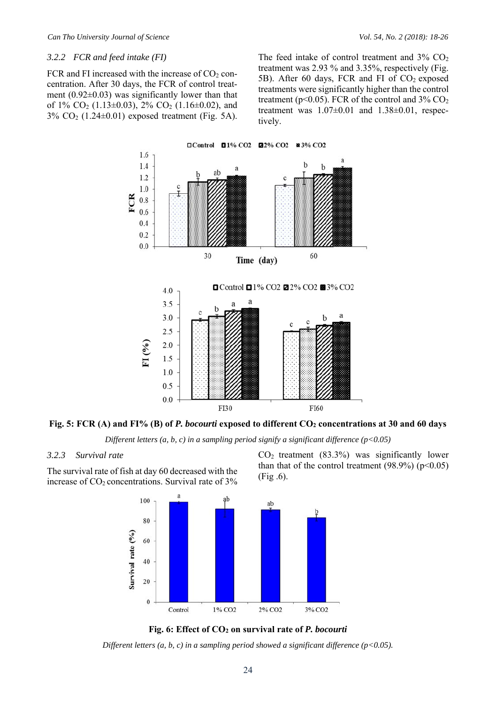#### *3.2.2 FCR and feed intake (FI)*

FCR and FI increased with the increase of  $CO<sub>2</sub>$  concentration. After 30 days, the FCR of control treatment  $(0.92\pm0.03)$  was significantly lower than that of  $1\%$  CO<sub>2</sub> (1.13±0.03),  $2\%$  CO<sub>2</sub> (1.16±0.02), and  $3\%$  CO<sub>2</sub> (1.24 $\pm$ 0.01) exposed treatment (Fig. 5A). The feed intake of control treatment and  $3\%$  CO<sub>2</sub> treatment was 2.93 % and 3.35%, respectively (Fig. 5B). After 60 days, FCR and FI of  $CO<sub>2</sub>$  exposed treatments were significantly higher than the control treatment ( $p<0.05$ ). FCR of the control and 3% CO<sub>2</sub> treatment was  $1.07\pm0.01$  and  $1.38\pm0.01$ , respectively.



**Fig. 5: FCR (A) and FI% (B) of** *P. bocourti* **exposed to different CO2 concentrations at 30 and 60 days** 

*Different letters (a, b, c) in a sampling period signify a significant difference (p<0.05)* 

#### *3.2.3 Survival rate*

The survival rate of fish at day 60 decreased with the increase of CO<sub>2</sub> concentrations. Survival rate of 3%



 $CO<sub>2</sub>$  treatment (83.3%) was significantly lower than that of the control treatment  $(98.9\%) (p<0.05)$ (Fig .6).



*Different letters (a, b, c) in a sampling period showed a significant difference (p<0.05).*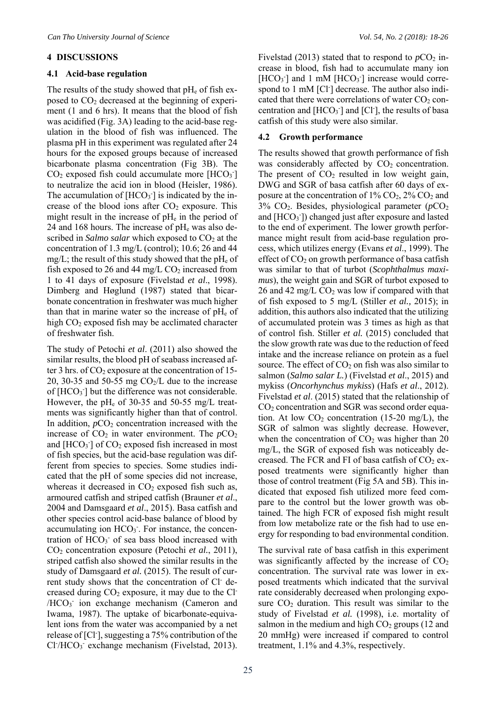#### **4 DISCUSSIONS**

#### **4.1 Acid-base regulation**

The results of the study showed that  $pH_e$  of fish exposed to  $CO<sub>2</sub>$  decreased at the beginning of experiment (1 and 6 hrs). It means that the blood of fish was acidified (Fig. 3A) leading to the acid-base regulation in the blood of fish was influenced. The plasma pH in this experiment was regulated after 24 hours for the exposed groups because of increased bicarbonate plasma concentration (Fig 3B). The  $CO<sub>2</sub>$  exposed fish could accumulate more [HCO<sub>3</sub><sup>-</sup>] to neutralize the acid ion in blood (Heisler, 1986). The accumulation of  $[HCO<sub>3</sub>$ <sup>-</sup>] is indicated by the increase of the blood ions after  $CO<sub>2</sub>$  exposure. This might result in the increase of  $pH_e$  in the period of 24 and 168 hours. The increase of  $pH<sub>e</sub>$  was also described in *Salmo salar* which exposed to CO<sub>2</sub> at the concentration of 1.3 mg/L (control); 10.6; 26 and 44 mg/L; the result of this study showed that the  $pH_e$  of fish exposed to 26 and 44 mg/L  $CO<sub>2</sub>$  increased from 1 to 41 days of exposure (Fivelstad *et al*., 1998). Dimberg and Høglund (1987) stated that bicarbonate concentration in freshwater was much higher than that in marine water so the increase of  $pH_e$  of high  $CO<sub>2</sub>$  exposed fish may be acclimated character of freshwater fish.

The study of Petochi *et al*. (2011) also showed the similar results, the blood pH of seabass increased after 3 hrs. of  $CO<sub>2</sub>$  exposure at the concentration of 15-20, 30-35 and 50-55 mg  $CO<sub>2</sub>/L$  due to the increase of  $[HCO<sub>3</sub>$ <sup>-</sup>] but the difference was not considerable. However, the pHe of 30-35 and 50-55 mg/L treatments was significantly higher than that of control. In addition,  $pCO_2$  concentration increased with the increase of  $CO<sub>2</sub>$  in water environment. The  $pCO<sub>2</sub>$ and  $[HCO<sub>3</sub>$ <sup>-</sup>] of  $CO<sub>2</sub>$  exposed fish increased in most of fish species, but the acid-base regulation was different from species to species. Some studies indicated that the pH of some species did not increase, whereas it decreased in  $CO<sub>2</sub>$  exposed fish such as, armoured catfish and striped catfish (Brauner *et al*., 2004 and Damsgaard *et al*., 2015). Basa catfish and other species control acid-base balance of blood by accumulating ion HCO<sub>3</sub>. For instance, the concentration of  $HCO<sub>3</sub>$  of sea bass blood increased with CO2 concentration exposure (Petochi *et al.*, 2011), striped catfish also showed the similar results in the study of Damsgaard *et al.* (2015). The result of current study shows that the concentration of Cl decreased during  $CO<sub>2</sub>$  exposure, it may due to the Cl<sup>-</sup> /HCO<sub>3</sub> ion exchange mechanism (Cameron and Iwama, 1987). The uptake of bicarbonate-equivalent ions from the water was accompanied by a net release of [Cl- ], suggesting a 75% contribution of the Cl<sup>-</sup>/HCO<sub>3</sub><sup>-</sup> exchange mechanism (Fivelstad, 2013). Fivelstad (2013) stated that to respond to  $pCO_2$  increase in blood, fish had to accumulate many ion  $[HCO<sub>3</sub>$ <sup>-</sup>] and 1 mM  $[HCO<sub>3</sub>$ <sup>-</sup>] increase would correspond to 1 mM [Cl<sup>-</sup>] decrease. The author also indicated that there were correlations of water  $CO<sub>2</sub>$  concentration and  $[HCO<sub>3</sub>$ <sup>-</sup>] and [Cl<sup>-</sup>], the results of basa catfish of this study were also similar.

# **4.2 Growth performance**

The results showed that growth performance of fish was considerably affected by  $CO<sub>2</sub>$  concentration. The present of  $CO<sub>2</sub>$  resulted in low weight gain, DWG and SGR of basa catfish after 60 days of exposure at the concentration of  $1\%$  CO<sub>2</sub>,  $2\%$  CO<sub>2</sub> and 3% CO2. Besides, physiological parameter (*p*CO2 and [HCO<sub>3</sub><sup>-</sup>]) changed just after exposure and lasted to the end of experiment. The lower growth performance might result from acid-base regulation process, which utilizes energy (Evans *et al*., 1999). The effect of  $CO<sub>2</sub>$  on growth performance of basa catfish was similar to that of turbot (*Scophthalmus maximus*), the weight gain and SGR of turbot exposed to 26 and 42 mg/L  $CO<sub>2</sub>$  was low if compared with that of fish exposed to 5 mg/L (Stiller *et al.,* 2015); in addition, this authors also indicated that the utilizing of accumulated protein was 3 times as high as that of control fish. Stiller *et al.* (2015) concluded that the slow growth rate was due to the reduction of feed intake and the increase reliance on protein as a fuel source. The effect of  $CO<sub>2</sub>$  on fish was also similar to salmon (*Salmo salar L.*) (Fivelstad *et al*., 2015) and mykiss (*Oncorhynchus mykiss*) (Hafs *et al*., 2012). Fivelstad *et al*. (2015) stated that the relationship of CO2 concentration and SGR was second order equation. At low  $CO<sub>2</sub>$  concentration (15-20 mg/L), the SGR of salmon was slightly decrease. However, when the concentration of  $CO<sub>2</sub>$  was higher than 20 mg/L, the SGR of exposed fish was noticeably decreased. The FCR and FI of basa catfish of  $CO<sub>2</sub>$  exposed treatments were significantly higher than those of control treatment (Fig 5A and 5B). This indicated that exposed fish utilized more feed compare to the control but the lower growth was obtained. The high FCR of exposed fish might result from low metabolize rate or the fish had to use energy for responding to bad environmental condition.

The survival rate of basa catfish in this experiment was significantly affected by the increase of  $CO<sub>2</sub>$ concentration. The survival rate was lower in exposed treatments which indicated that the survival rate considerably decreased when prolonging exposure  $CO<sub>2</sub>$  duration. This result was similar to the study of Fivelstad *et al.* (1998), i.e. mortality of salmon in the medium and high  $CO<sub>2</sub>$  groups (12 and 20 mmHg) were increased if compared to control treatment, 1.1% and 4.3%, respectively.